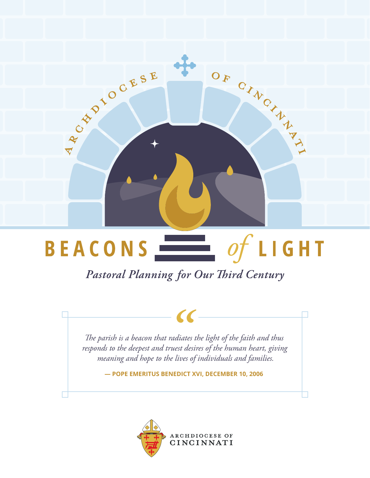

### $\frac{1}{\sqrt{1-\frac{1}{\sqrt{1-\frac{1}{\sqrt{1-\frac{1}{\sqrt{1-\frac{1}{\sqrt{1-\frac{1}{\sqrt{1-\frac{1}{\sqrt{1-\frac{1}{\sqrt{1-\frac{1}{\sqrt{1-\frac{1}{\sqrt{1-\frac{1}{\sqrt{1-\frac{1}{\sqrt{1-\frac{1}{\sqrt{1-\frac{1}{\sqrt{1-\frac{1}{\sqrt{1-\frac{1}{\sqrt{1-\frac{1}{\sqrt{1-\frac{1}{\sqrt{1-\frac{1}{\sqrt{1-\frac{1}{\sqrt{1-\frac{1}{\sqrt{1-\frac{1}{\sqrt{1-\frac{1}{\sqrt{1-\frac{1}{\sqrt{1-\frac{1$ **BEACONS**

Pastoral Planning for Our Third Century

*The parish is a beacon that radiates the light of the faith and thus responds to the deepest and truest desires of the human heart, giving meaning and hope to the lives of individuals and families.* |-<br>| radiate<br>| ruest de<br>| he lives

**— POPE EMERITUS BENEDICT XVI, DECEMBER 10, 2006**

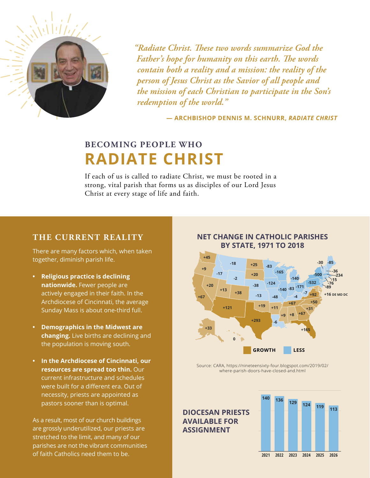

*"Radiate Christ. These two words summarize God the Father's hope for humanity on this earth. The words contain both a reality and a mission: the reality of the person of Jesus Christ as the Savior of all people and the mission of each Christian to participate in the Son's redemption of the world."*

**— ARCHBISHOP DENNIS M. SCHNURR,** *RADIATE CHRIST*

### **BECOMING PEOPLE WHO RADIATE CHRIST**

If each of us is called to radiate Christ, we must be rooted in a strong, vital parish that forms us as disciples of our Lord Jesus Christ at every stage of life and faith.

### **THE CURRENT REALITY**

There are many factors which, when taken together, diminish parish life.

- **• Religious practice is declining nationwide.** Fewer people are actively engaged in their faith. In the Archdiocese of Cincinnati, the average Sunday Mass is about one-third full.
- **• Demographics in the Midwest are changing.** Live births are declining and the population is moving south.
- **• In the Archdiocese of Cincinnati, our resources are spread too thin.** Our current infrastructure and schedules were built for a different era. Out of necessity, priests are appointed as pastors sooner than is optimal.

As a result, most of our church buildings are grossly underutilized, our priests are stretched to the limit, and many of our parishes are not the vibrant communities of faith Catholics need them to be.



**NET CHANGE IN CATHOLIC PARISHES** 

Source: CARA, https://nineteensixty-four.blogspot.com/2019/02/ where-parish-doors-have-closed-and.html

**AVAILABLE FOR ASSIGNMENT**

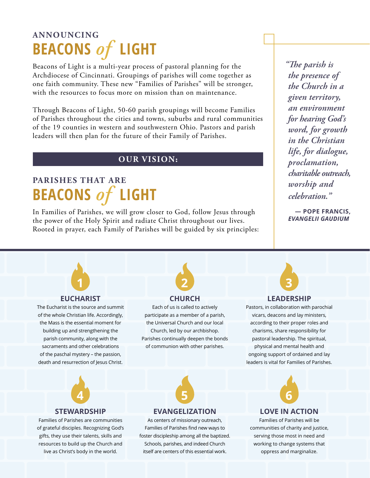## **ANNOUNCING BEACONS** *of* **LIGHT**

Beacons of Light is a multi-year process of pastoral planning for the Archdiocese of Cincinnati. Groupings of parishes will come together as one faith community. These new "Families of Parishes" will be stronger, with the resources to focus more on mission than on maintenance.

Through Beacons of Light, 50-60 parish groupings will become Families of Parishes throughout the cities and towns, suburbs and rural communities of the 19 counties in western and southwestern Ohio. Pastors and parish leaders will then plan for the future of their Family of Parishes.

### **OUR VISION:**

## **PARISHES THAT ARE BEACONS** *of* **LIGHT**

In Families of Parishes, we will grow closer to God, follow Jesus through the power of the Holy Spirit and radiate Christ throughout our lives. Rooted in prayer, each Family of Parishes will be guided by six principles: *"The parish is the presence of the Church in a given territory, an environment for hearing God's word, for growth in the Christian life, for dialogue, proclamation, charitable outreach, worship and celebration."*

**— POPE FRANCIS,**  *EVANGELII GAUDIUM*



### **EUCHARIST**

The Eucharist is the source and summit of the whole Christian life. Accordingly, the Mass is the essential moment for building up and strengthening the parish community, along with the sacraments and other celebrations of the paschal mystery – the passion, death and resurrection of Jesus Christ.



#### **CHURCH** Each of us is called to actively

participate as a member of a parish, the Universal Church and our local Church, led by our archbishop. Parishes continually deepen the bonds of communion with other parishes.

**LEADERSHIP**

Pastors, in collaboration with parochial vicars, deacons and lay ministers, according to their proper roles and charisms, share responsibility for pastoral leadership. The spiritual, physical and mental health and ongoing support of ordained and lay leaders is vital for Families of Parishes.



### **STEWARDSHIP**

Families of Parishes are communities of grateful disciples. Recognizing God's gifts, they use their talents, skills and resources to build up the Church and live as Christ's body in the world.



#### **EVANGELIZATION**

As centers of missionary outreach, Families of Parishes find new ways to foster discipleship among all the baptized. Schools, parishes, and indeed Church itself are centers of this essential work.



### **LOVE IN ACTION**

Families of Parishes will be communities of charity and justice, serving those most in need and working to change systems that oppress and marginalize.